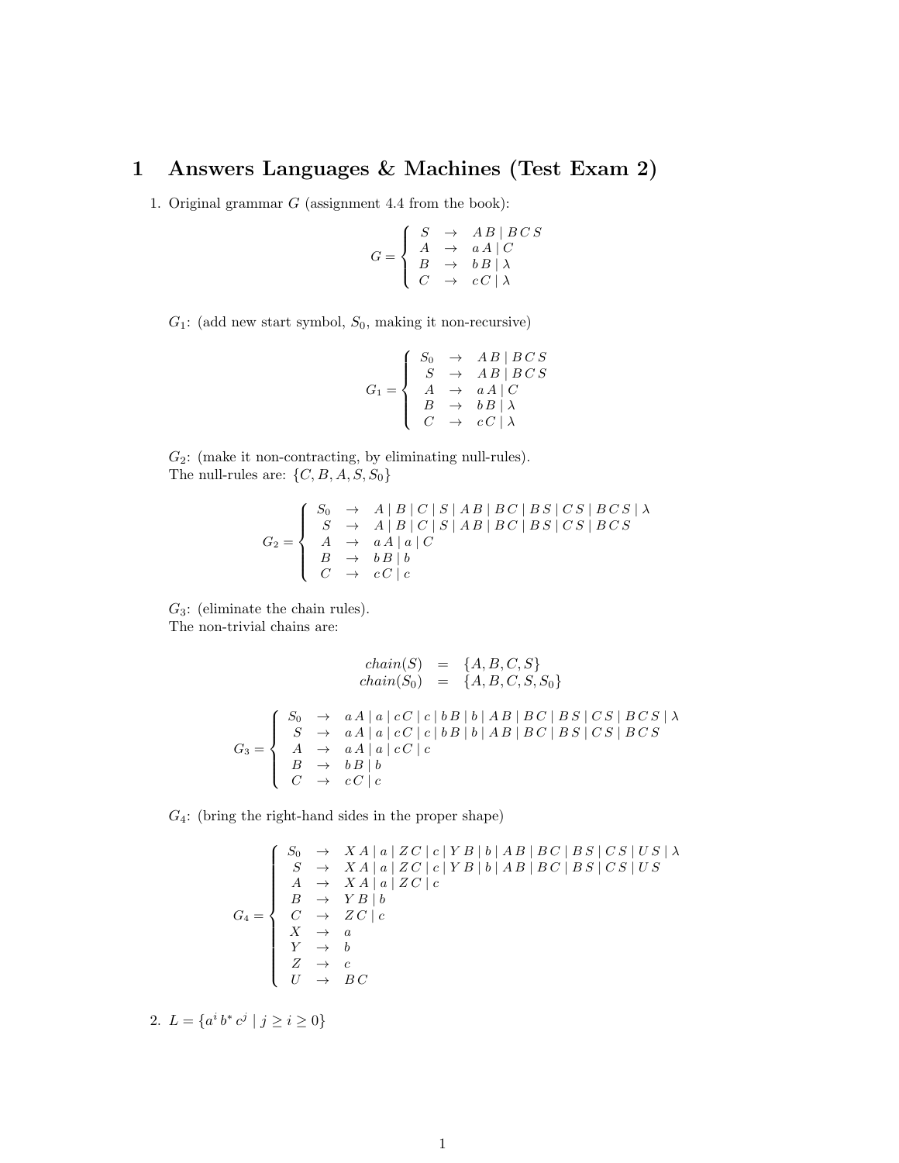## 1 Answers Languages & Machines (Test Exam 2)

1. Original grammar *G* (assignment 4.4 from the book):

$$
G = \left\{ \begin{array}{lcl} S & \rightarrow & AB \mid B \, C \, S \\ A & \rightarrow & a \, A \mid C \\ B & \rightarrow & b \, B \mid \lambda \\ C & \rightarrow & c \, C \mid \lambda \end{array} \right.
$$

*G*1: (add new start symbol, *S*0, making it non-recursive)

$$
G_1 = \left\{ \begin{array}{ccc} S_0 & \rightarrow & AB \mid BCS \\ S & \rightarrow & AB \mid BCS \\ A & \rightarrow & aA \mid C \\ B & \rightarrow & bB \mid \lambda \\ C & \rightarrow & cC \mid \lambda \end{array} \right.
$$

 $G_2$ : (make it non-contracting, by eliminating null-rules). The null-rules are: *{C, B, A, S, S*0*}*

$$
G_2 = \left\{\n\begin{array}{c}\nS_0 & \rightarrow & A \mid B \mid C \mid S \mid AB \mid BC \mid BS \mid CS \mid BCS \mid \lambda \\
S & \rightarrow & A \mid B \mid C \mid S \mid AB \mid BC \mid BS \mid CS \mid BCS \\
A & \rightarrow & aA \mid a \mid C \\
B & \rightarrow & bB \mid b \\
C & \rightarrow & cC \mid c\n\end{array}\n\right.
$$

*G*3: (eliminate the chain rules). The non-trivial chains are:

$$
chain(S) = \{A, B, C, S\}
$$
  
\n
$$
chain(S_0) = \{A, B, C, S, S_0\}
$$
  
\n
$$
G_3 = \begin{cases} S_0 & \rightarrow & aA \mid a \mid cC \mid c \mid bB \mid b \mid AB \mid BC \mid BS \mid CS \mid BCS \mid \lambda \\ S & \rightarrow & aA \mid a \mid cC \mid c \mid bB \mid b \mid AB \mid BC \mid BS \mid CS \mid BCS \mid \\ A & \rightarrow & aA \mid a \mid cC \mid c \\ B & \rightarrow & bB \mid b \\ C & \rightarrow & cC \mid c \end{cases}
$$

*G*4: (bring the right-hand sides in the proper shape)

$$
G_4 = \left\{\begin{array}{ccl} S_0 & \rightarrow & XA \mid a \mid ZC \mid c \mid YB \mid b \mid AB \mid BC \mid BS \mid CS \mid US \mid \lambda \\ S & \rightarrow & XA \mid a \mid ZC \mid c \mid YB \mid b \mid AB \mid BC \mid BS \mid CS \mid US \\ A & \rightarrow & XA \mid a \mid ZC \mid c \\ B & \rightarrow & YB \mid b \\ C & \rightarrow & ZC \mid c \\ X & \rightarrow & a \\ Y & \rightarrow & b \\ Z & \rightarrow & c \\ U & \rightarrow & BC \end{array}\right.
$$

2.  $L = \{a^i b^* c^j \mid j \ge i \ge 0\}$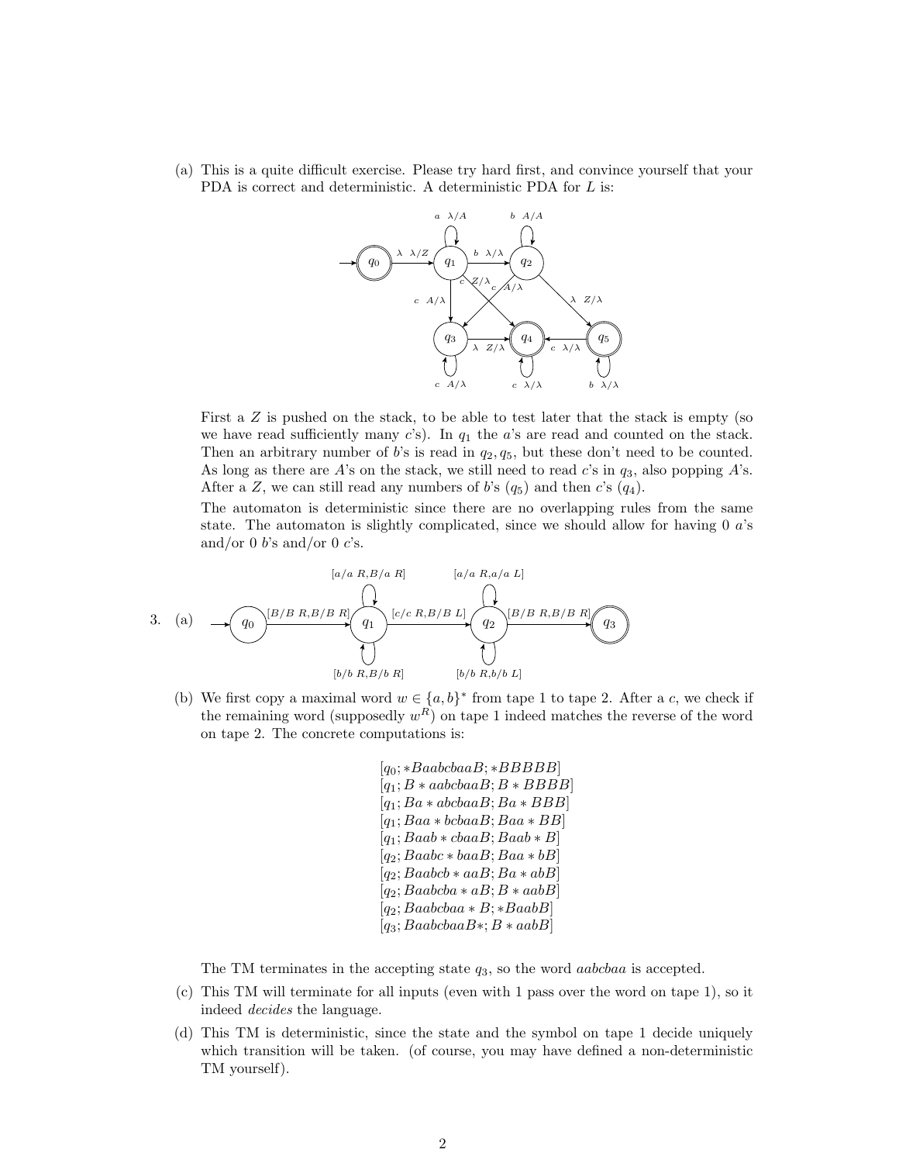(a) This is a quite difficult exercise. Please try hard first, and convince yourself that your PDA is correct and deterministic. A deterministic PDA for *L* is:



First a *Z* is pushed on the stack, to be able to test later that the stack is empty (so we have read sufficiently many  $c$ 's). In  $q_1$  the  $a$ 's are read and counted on the stack. Then an arbitrary number of *b*'s is read in *q*2*, q*5, but these don't need to be counted. As long as there are *A*'s on the stack, we still need to read *c*'s in *q*3, also popping *A*'s. After a *Z*, we can still read any numbers of *b*'s  $(q_5)$  and then *c*'s  $(q_4)$ .

The automaton is deterministic since there are no overlapping rules from the same state. The automaton is slightly complicated, since we should allow for having 0 *a*'s and/or 0 *b*'s and/or 0 *c*'s.

$$
[a/a R, B/a R] \qquad [a/a R, a/a L]
$$
\n3. (a) 
$$
q_0
$$
\n
$$
\begin{array}{ccc}\n & [B/B R, B/B R] & \text{[c/c R, B/B L] & \text{[B/B R, B/B R] & \text{[C/B R, B/B R] & \text{[D/B R, B/B R] & \text{[E/B R, B/B R] & \text{[E/B R, B/B R] & \text{[E/B R, B/B L] & \text{[E/B R, B/B L] & \text{[E/B R, B/B L] & \text{[E/B R, B/B L] & \text{[E/B R, B/B L] & \text{[E/B R, B/B L] & \text{[E/B R, B/B L] & \text{[E/B R, B/B L] & \text{[E/B R, B/B L] & \text{[E/B R, B/B L] & \text{[E/B R, B/B L] & \text{[E/B R, B/B L] & \text{[E/B R, B/B L] & \text{[E/B R, B/B L] & \text{[E/B R, B/B L] & \text{[E/B R, B/B L] & \text{[E/B R, B/B L] & \text{[E/B R, B/B L] & \text{[E/B R, B/B L] & \text{[E/B R, B/B L] & \text{[E/B R, B/B L] & \text{[E/B R, B/B L] & \text{[E/B R, B/B L] & \text{[E/B R, B/B L] & \text{[E/B R, B/B L] & \text{[E/B R, B/B L] & \text{[E/B R, B/B L] & \text{[E/B R, B/B L] & \text{[E/B R, B/B L] & \text{[E/B R, B/B L] & \text{[E/B R, B/B L] & \text{[E/B R, B/B L] & \text{[E/B R, B/B L] & \text{[E/B R, B/B L] & \text{[E/B R, B/B L] & \text{[E/B R, B/B L] & \text{[E/B R, B/B L] & \text{[E/B R, B/B L] & \text{[E/B R, B/B L] & \text{[E/B R, B/B L] &
$$

(b) We first copy a maximal word  $w \in \{a, b\}^*$  from tape 1 to tape 2. After a *c*, we check if the remaining word (supposedly  $w^R$ ) on tape 1 indeed matches the reverse of the word on tape 2. The concrete computations is:

> $[q_0; * BaabcbaaB; *BBBBB]$  $[q_1; B * aabcbaaB; B * BBBB]$  $[q_1; Ba * abcbaaB; Ba * BBB]$  $[q_1; Baa * bcbaaB; Baa * BB]$  $[q_1; Baab * cbaaB; Baab * B]$  $[q_2; Baabc * baaB; Baa * bB]$  $[q_2; Baabcb * aaB; Ba * abB]$  $[q_2; Baabcba * aB; B * aabB]$  $[q_2; Baabcbaa * B; *BaabB]$  $[q_3; BaabcbaaB*; B*aabB]$

The TM terminates in the accepting state *q*3, so the word *aabcbaa* is accepted.

- (c) This TM will terminate for all inputs (even with 1 pass over the word on tape 1), so it indeed *decides* the language.
- (d) This TM is deterministic, since the state and the symbol on tape 1 decide uniquely which transition will be taken. (of course, you may have defined a non-deterministic TM yourself).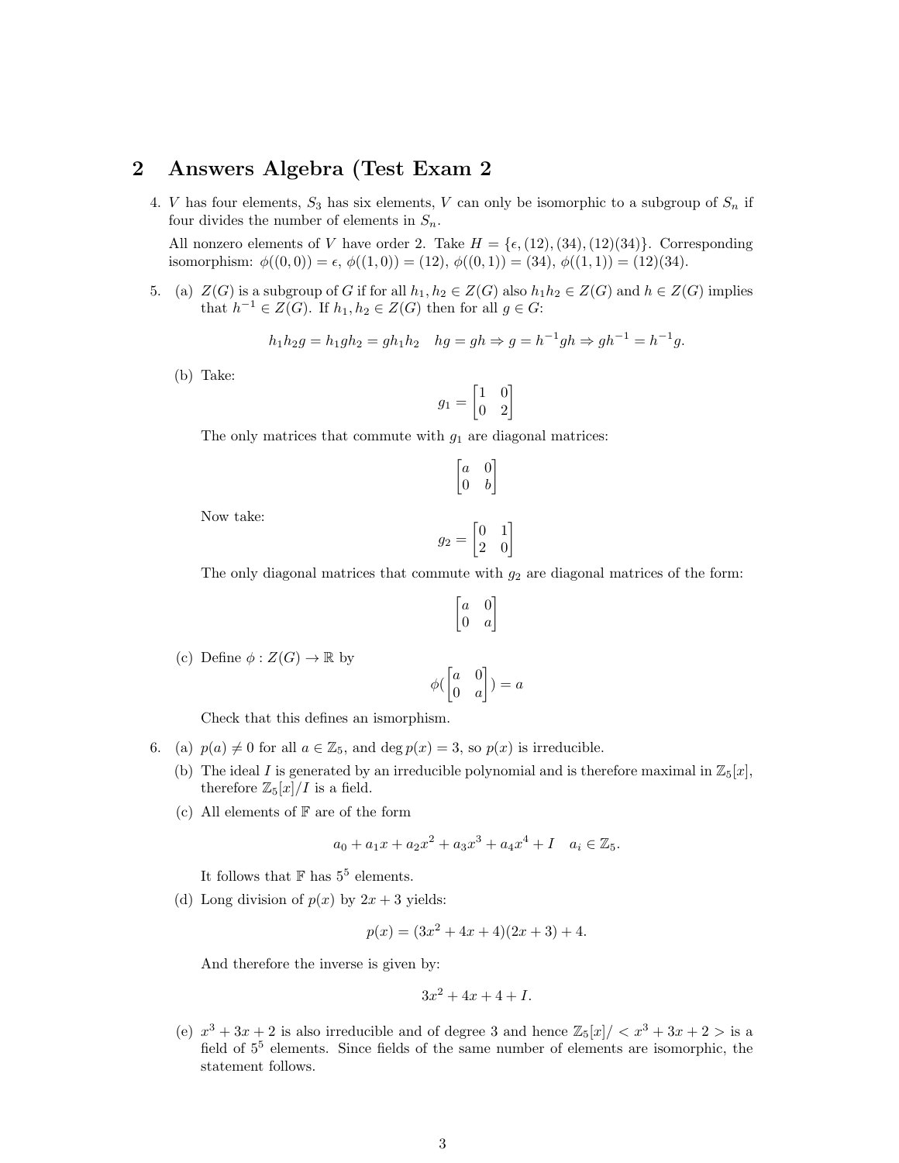## 2 Answers Algebra (Test Exam 2

4. *V* has four elements,  $S_3$  has six elements, *V* can only be isomorphic to a subgroup of  $S_n$  if four divides the number of elements in  $S_n$ .

All nonzero elements of *V* have order 2. Take  $H = \{\epsilon, (12), (34), (12)(34)\}\.$  Corresponding isomorphism:  $\phi((0,0)) = \epsilon$ ,  $\phi((1,0)) = (12)$ ,  $\phi((0,1)) = (34)$ ,  $\phi((1,1)) = (12)(34)$ .

5. (a)  $Z(G)$  is a subgroup of *G* if for all  $h_1, h_2 \in Z(G)$  also  $h_1 h_2 \in Z(G)$  and  $h \in Z(G)$  implies that  $h^{-1} \in Z(G)$ . If  $h_1, h_2 \in Z(G)$  then for all  $g \in G$ :

$$
h_1h_2g = h_1gh_2 = gh_1h_2
$$
  $hg = gh \Rightarrow g = h^{-1}gh \Rightarrow gh^{-1} = h^{-1}g.$ 

(b) Take:

$$
g_1=\begin{bmatrix} 1 & 0 \\ 0 & 2 \end{bmatrix}
$$

The only matrices that commute with *g*<sup>1</sup> are diagonal matrices:

$$
\begin{bmatrix} a & 0 \\ 0 & b \end{bmatrix}
$$

Now take:

$$
g_2 = \begin{bmatrix} 0 & 1 \\ 2 & 0 \end{bmatrix}
$$

The only diagonal matrices that commute with  $g_2$  are diagonal matrices of the form:

$$
\begin{bmatrix} a & 0 \\ 0 & a \end{bmatrix}
$$

(c) Define  $\phi : Z(G) \to \mathbb{R}$  by

$$
\phi(\begin{bmatrix} a & 0 \\ 0 & a \end{bmatrix}) = a
$$

Check that this defines an ismorphism.

- 6. (a)  $p(a) \neq 0$  for all  $a \in \mathbb{Z}_5$ , and deg  $p(x) = 3$ , so  $p(x)$  is irreducible.
	- (b) The ideal *I* is generated by an irreducible polynomial and is therefore maximal in  $\mathbb{Z}_5[x]$ , therefore  $\mathbb{Z}_5[x]/I$  is a field.
	- (c) All elements of  $\mathbb F$  are of the form

$$
a_0 + a_1x + a_2x^2 + a_3x^3 + a_4x^4 + I \quad a_i \in \mathbb{Z}_5.
$$

It follows that  $\mathbb F$  has  $5^5$  elements.

(d) Long division of  $p(x)$  by  $2x + 3$  yields:

$$
p(x) = (3x^2 + 4x + 4)(2x + 3) + 4.
$$

And therefore the inverse is given by:

$$
3x^2 + 4x + 4 + I.
$$

(e)  $x^3 + 3x + 2$  is also irreducible and of degree 3 and hence  $\mathbb{Z}_5[x]/\langle x^3 + 3x + 2 \rangle$  is a field of  $5<sup>5</sup>$  elements. Since fields of the same number of elements are isomorphic, the statement follows.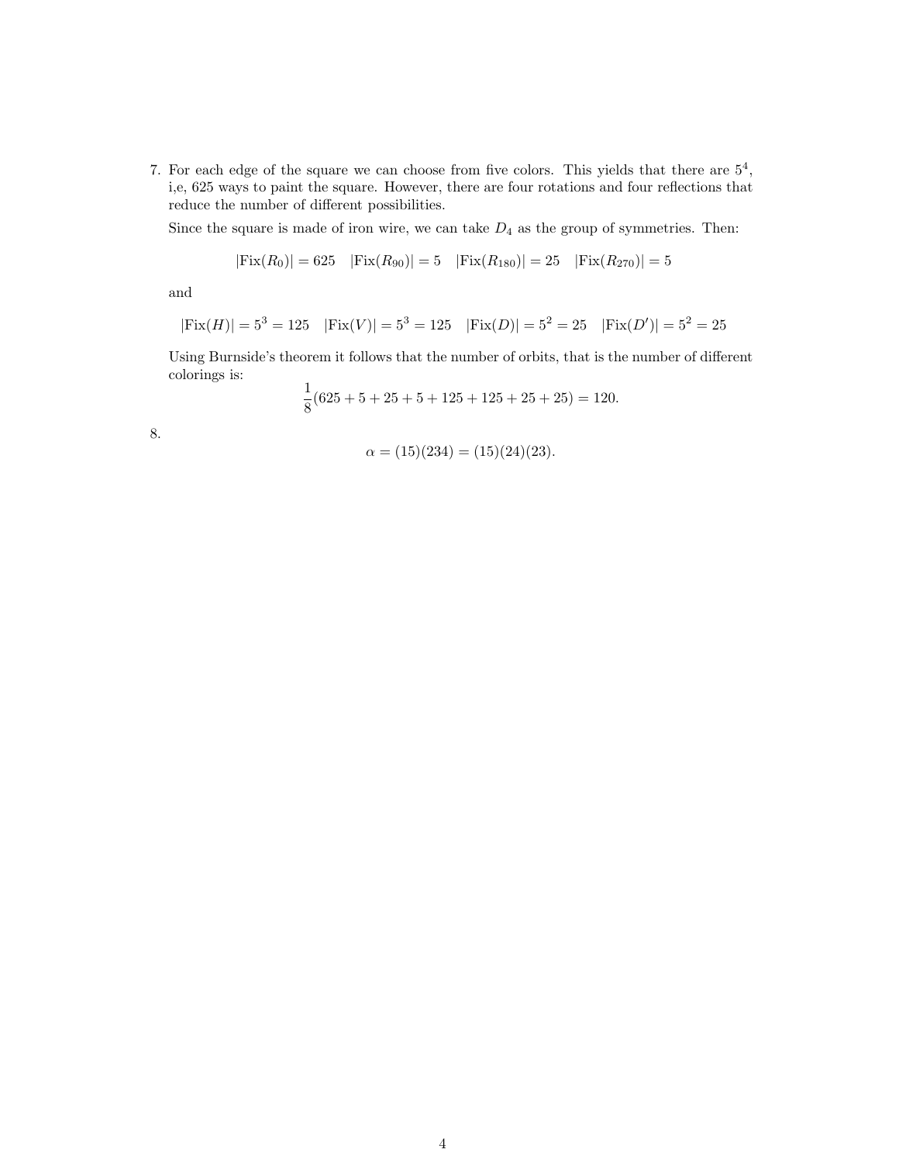7. For each edge of the square we can choose from five colors. This yields that there are  $5^4$ , i,e, 625 ways to paint the square. However, there are four rotations and four reflections that reduce the number of different possibilities.

Since the square is made of iron wire, we can take  $D_4$  as the group of symmetries. Then:

$$
|\text{Fix}(R_0)| = 625 \quad |\text{Fix}(R_{90})| = 5 \quad |\text{Fix}(R_{180})| = 25 \quad |\text{Fix}(R_{270})| = 5
$$

and

$$
|\text{Fix}(H)| = 5^3 = 125 \quad |\text{Fix}(V)| = 5^3 = 125 \quad |\text{Fix}(D)| = 5^2 = 25 \quad |\text{Fix}(D')| = 5^2 = 25
$$

Using Burnside's theorem it follows that the number of orbits, that is the number of different colorings is:

$$
\frac{1}{8}(625+5+25+5+125+125+25+25) = 120.
$$

8.

$$
\alpha = (15)(234) = (15)(24)(23).
$$